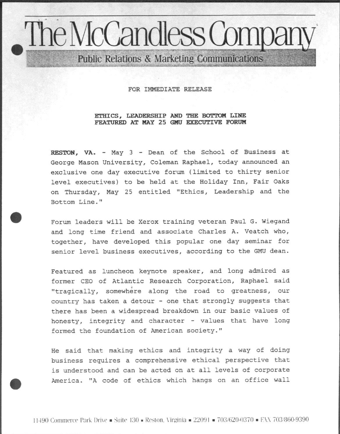## The McCandless Compa Public Relations & Marketing Communications

FOR IMMEDIATE RELEASE

## ETHICS, LEADERSHIP AND THE BOTTOM LINE FEATURED AT MAY 25 GNU EXECUTIVE FORUM

RESTON, VA. - May 3 - Dean of the School of Business at George Mason University, Coleman Raphael, today announced an exclusive one day executive forum (limited to thirty senior level executives) to be held at the Holiday Inn, Fair Oaks on Thursday, May 25 entitled "Ethics, Leadership and the Bottom Line."

Forum leaders will be Xerox training veteran Paul G. Wiegand and long time friend and associate Charles A. Veatch who, together, have developed this popular one day seminar for senior level business executives, according to the GMU dean.

Featured as luncheon keynote speaker, and long admired as former CEO of Atlantic Research Corporation, Raphael said "tragically, somewhere along the road to greatness, our country has taken a detour - one that strongly suggests that there has been a widespread breakdown in our basic values of honesty, integrity and character - values that have long formed the foundation of American society."

He said that making ethics and integrity a way of doing business requires a comprehensive ethical perspective that is understood and can be acted on at all levels of corporate America. "A code of ethics which hangs on an office wall

11490 Commerce Park Drive = Suite 130 = Reston, Virginia =  $22091 = 703/620-0370 = FAX 703/860-9390$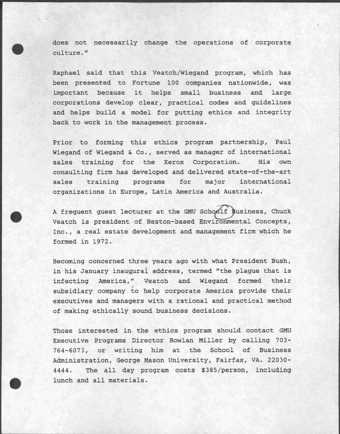does not necessarily change the operations of corporate culture."

Raphael said that this Veatch/Wiegand program, which has been presented to Fortune 100 companies nationwide, was important because it helps small business and large corporations develop clear, practical codes and guidelines and helps build a model for putting ethics and integrity back to work in the management process.

Prior to forming this ethics program partnership, Paul Wiegand of Wiegand & Co., served as manager of international sales training for the Xerox Corporation. His own consulting firm has developed and delivered state-of-the-art sales training programs for major international organizations in Europe, Latin America and Australia.

A frequent guest lecturer at the GMU Schoolf Business, Chuck Veatch is president of Reston-based Environmental Concepts, Inc., a real estate development and management firm which he formed in 1972.

Becoming concerned three years ago with what President Bush, in his January inaugural address, termed "the plague that is infecting America," Veatch and Wiegand formed their subsidiary company to help corporate America provide their executives and managers with a rational and practical method of making ethically sound business decisions.

Those interested in the ethics program should contact GMU Executive Programs Director Rowlan Miller by calling 703- 764-6073, or writing him at the School of Business Administration, George Mason University, Fairfax, VA. 22030- 4444. The all day program costs \$385/person, including lunch and all materials.